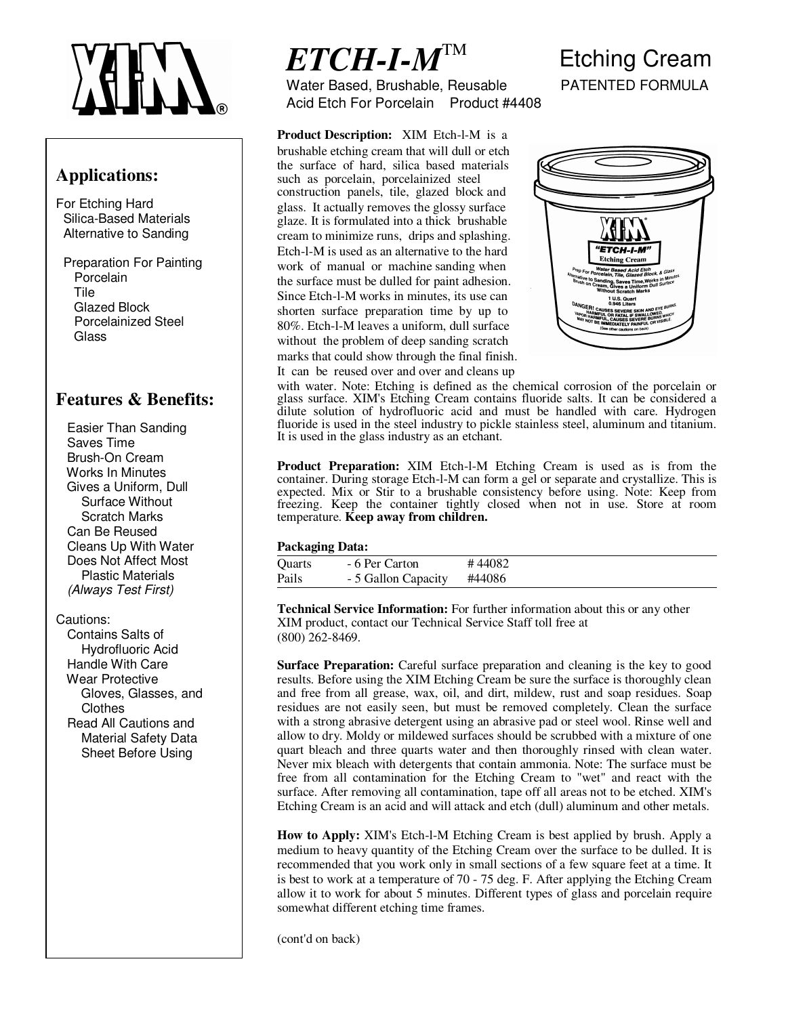## **Applications:**

For Etching Hard Silica-Based Materials Alternative to Sanding

 Preparation For Painting **Porcelain**  Tile Glazed Block Porcelainized Steel Glass

### **Features & Benefits:**

 Easier Than Sanding Saves Time Brush-On Cream Works In Minutes Gives a Uniform, Dull Surface Without Scratch Marks Can Be Reused Cleans Up With Water Does Not Affect Most Plastic Materials (Always Test First)

#### Cautions:

 Contains Salts of Hydrofluoric Acid Handle With Care Wear Protective Gloves, Glasses, and Clothes Read All Cautions and Material Safety Data Sheet Before Using

# *ETCH-I-M*TM

Water Based, Brushable, Reusable PATENTED FORMULA Acid Etch For Porcelain Product #4408

#### **Product Description:** XIM Etch-l-M is a brushable etching cream that will dull or etch the surface of hard, silica based materials such as porcelain, porcelainized steel construction panels, tile, glazed block and glass. It actually removes the glossy surface glaze. It is formulated into a thick brushable cream to minimize runs, drips and splashing. Etch-l-M is used as an alternative to the hard work of manual or machine sanding when the surface must be dulled for paint adhesion. Since Etch-l-M works in minutes, its use can shorten surface preparation time by up to 80%. Etch-l-M leaves a uniform, dull surface without the problem of deep sanding scratch marks that could show through the final finish. It can be reused over and over and cleans up



Etching Cream

with water. Note: Etching is defined as the chemical corrosion of the porcelain or glass surface. XIM's Etching Cream contains fluoride salts. It can be considered a dilute solution of hydrofluoric acid and must be handled with care. Hydrogen fluoride is used in the steel industry to pickle stainless steel, aluminum and titanium. It is used in the glass industry as an etchant.

**Product Preparation:** XIM Etch-l-M Etching Cream is used as is from the container. During storage Etch-l-M can form a gel or separate and crystallize. This is expected. Mix or Stir to a brushable consistency before using. Note: Keep from freezing. Keep the container tightly closed when not in use. Store at room temperature. **Keep away from children.** 

#### **Packaging Data:**

| Quarts | - 6 Per Carton      | #44082 |
|--------|---------------------|--------|
| Pails  | - 5 Gallon Capacity | #44086 |

**Technical Service Information:** For further information about this or any other XIM product, contact our Technical Service Staff toll free at (800) 262-8469.

**Surface Preparation:** Careful surface preparation and cleaning is the key to good results. Before using the XIM Etching Cream be sure the surface is thoroughly clean and free from all grease, wax, oil, and dirt, mildew, rust and soap residues. Soap residues are not easily seen, but must be removed completely. Clean the surface with a strong abrasive detergent using an abrasive pad or steel wool. Rinse well and allow to dry. Moldy or mildewed surfaces should be scrubbed with a mixture of one quart bleach and three quarts water and then thoroughly rinsed with clean water. Never mix bleach with detergents that contain ammonia. Note: The surface must be free from all contamination for the Etching Cream to "wet" and react with the surface. After removing all contamination, tape off all areas not to be etched. XIM's Etching Cream is an acid and will attack and etch (dull) aluminum and other metals.

**How to Apply:** XIM's Etch-l-M Etching Cream is best applied by brush. Apply a medium to heavy quantity of the Etching Cream over the surface to be dulled. It is recommended that you work only in small sections of a few square feet at a time. It is best to work at a temperature of 70 - 75 deg. F. After applying the Etching Cream allow it to work for about 5 minutes. Different types of glass and porcelain require somewhat different etching time frames.

(cont'd on back)